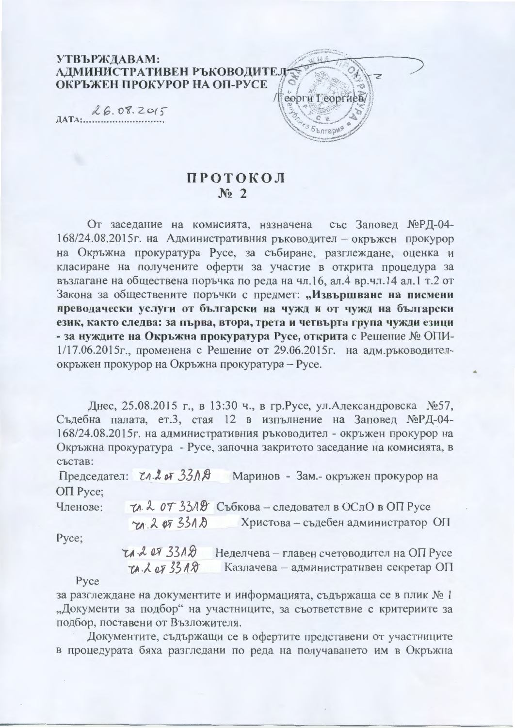### УТВЪРЖДАВАМ: АЛМИНИСТРАТИВЕН РЪКОВОДИТЕЛЕ ОКРЪЖЕН ПРОКУРОР НА ОП-РУСЕ

 $26.08.2015$  $\text{ATA}:...$ 



# **ПРОТОКОЛ**  $N_2$  2

От заседание на комисията, назначена със Заповед №РД-04-168/24.08.2015 г. на Административния ръководител - окръжен прокурор на Окръжна прокуратура Русе, за събиране, разглеждане, оценка и класиране на получените оферти за участие в открита процедура за възлагане на обществена поръчка по реда на чл.16, ал.4 вр.чл.14 ал.1 т.2 от Закона за обществените поръчки с предмет: "Извършване на писмени преводачески услуги от български на чужд и от чужд на български език, както следва: за първа, втора, трета и четвърта група чужди езици - за нуждите на Окръжна прокуратура Русе, открита с Решение № ОПИ-1/17.06.2015г., променена с Решение от 29.06.2015г. на адм.ръководителокръжен прокурор на Окръжна прокуратура – Русе.

Днес, 25.08.2015 г., в 13:30 ч., в гр.Русе, ул.Александровска №57, Съдебна палата, ет.3, стая 12 в изпълнение на Заповед №РД-04-168/24.08.2015г. на административния ръководител - окръжен прокурор на Окръжна прокуратура - Русе, започна закритото заседание на комисията, в състав:

Председател:  $\zeta_A$  2 от 33Л $\beta$ Маринов - Зам.- окръжен прокурор на OП Pyce:

7л. 2 от 33ЛФ Събкова - следовател в ОСлО в ОП Русе Членове:  $2022073318$ Христова - съдебен администратор ОП

Pyce;

и 2 от 3318 Неделчева - главен счетоводител на ОП Русе Казлачева - административен секретар ОП TA. L OF 3318

Pyce

за разглеждане на документите и информацията, съдържаща се в плик № 1 "Документи за подбор" на участниците, за съответствие с критериите за подбор, поставени от Възложителя.

Документите, съдържащи се в офертите представени от участниците в процедурата бяха разгледани по реда на получаването им в Окръжна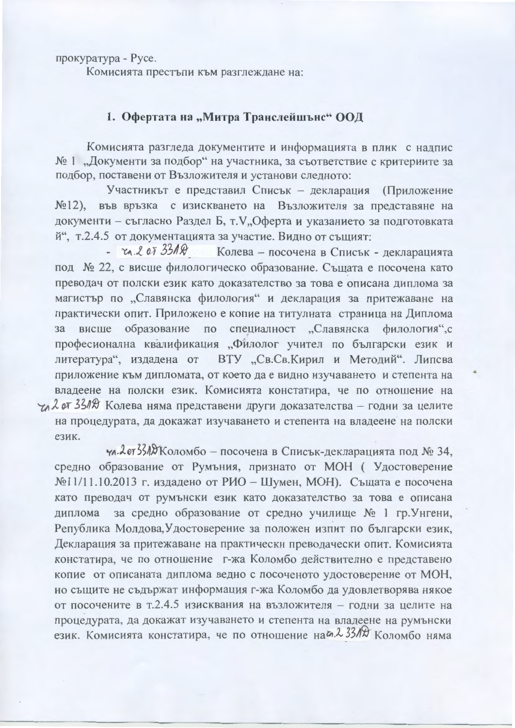прокуратура - Русе.

Комисията престъпи към разглеждане на:

### 1. Офертата на "Митра Транслейшънс" ООД

Комисията разгледа документите и информацията в плик с надпис № 1 "Документи за подбор" на участника, за съответствие с критериите за подбор, поставени от Възложителя и установи следното:

Участникът е представил Списък - декларация (Приложение №12), във връзка с изискването на Възложителя за представяне на документи - съгласно Раздел Б, т.V,, Оферта и указанието за подготовката й", т.2.4.5 от документацията за участие. Видно от същият:

- гл. 2 ет 331 % Колева - посочена в Списък - декларацията под № 22, с висше филологическо образование. Същата е посочена като преводач от полски език като доказателство за това е описана диплома за магистър по "Славянска филология" и декларация за притежаване на практически опит. Приложено е копие на титулната страница на Диплома висше образование по специалност "Славянска филология",с професионална квалификация "Филолог учител по български език и литература", издадена от ВТУ "Св.Св.Кирил и Методий". Липсва приложение към дипломата, от което да е видно изучаването и степента на владеене на полски език. Комисията констатира, че по отношение на 712 от 3318 Колева няма представени други доказателства - годни за целите на процедурата, да докажат изучаването и степента на владеене на полски език.

ул. 2 от 331 Жоломбо - посочена в Списък-декларацията под № 34, средно образование от Румъния, признато от МОН (Удостоверение №11/11.10.2013 г. издадено от РИО - Шумен, МОН). Същата е посочена като преводач от румънски език като доказателство за това е описана диплома за средно образование от средно училище № 1 гр. Унгени, Република Молдова, Удостоверение за положен изпит по български език, Декларация за притежаване на практически преводачески опит. Комисията констатира, че по отношение г-жа Коломбо действително е представено копие от описаната диплома ведно с посоченото удостоверение от МОН. но същите не съдържат информация г-жа Коломбо да удовлетворява някое от посочените в т.2.4.5 изисквания на възложителя - годни за целите на процедурата, да докажат изучаването и степента на владеене на румънски език. Комисията констатира, че по отношение най. 2331 Коломбо няма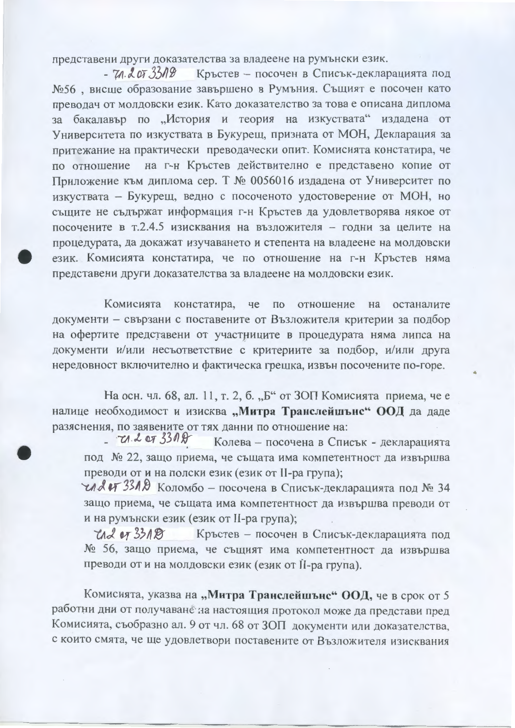представени други доказателства за владеене на румънски език.

 $-71.205.3319$ Кръстев - посочен в Списък-декларацията под №56, висше образование завършено в Румъния. Същият е посочен като преводач от молдовски език. Като доказателство за това е описана диплома за бакалавър по "История и теория на изкуствата" издадена от Университета по изкуствата в Букурещ, призната от МОН, Декларация за притежание на практически преводачески опит. Комисията констатира, че по отношение на г-н Кръстев действително е представено копие от Приложение към диплома сер. Т № 0056016 издадена от Университет по изкуствата - Букурещ, ведно с посоченото удостоверение от МОН, но същите не съдържат информация г-н Кръстев да удовлетворява някое от посочените в т.2.4.5 изисквания на възложителя - годни за целите на процедурата, да докажат изучаването и степента на владеене на молдовски език. Комисията констатира, че по отношение на г-н Кръстев няма представени други доказателства за владеене на молдовски език.

Комисията констатира, че по отношение на останалите документи - свързани с поставените от Възложителя критерии за подбор на офертите представени от участниците в процедурата няма липса на документи и/или несъответствие с критериите за подбор, и/или друга нередовност включително и фактическа грешка, извън посочените по-горе.

На осн. чл. 68, ал. 11, т. 2, б. "Б" от ЗОП Комисията приема, че е налице необходимост и изисква "Митра Транслейшънс" ООД да даде разяснения, по заявените от тях данни по отношение на:

 $-71.2$  or 330g Колева - посочена в Списък - декларацията под № 22, защо приема, че същата има компетентност да извършва преводи от и на полски език (език от II-ра група);

 $\mathcal{A}$  от 3312 Коломбо – посочена в Списък-декларацията под № 34 защо приема, че същата има компетентност да извършва преводи от и на румънски език (език от II-ра група);

 $tad$  or  $3318$ Кръстев - посочен в Списък-декларацията под № 56, защо приема, че същият има компетентност да извършва преводи от и на молдовски език (език от II-ра група).

Комисията, указва на "Митра Транслейшънс" ООД, че в срок от 5 работни дни от получаване на настоящия протокол може да представи пред Комисията, съобразно ал. 9 от чл. 68 от ЗОП документи или доказателства, с които смята, че ще удовлетвори поставените от Възложителя изисквания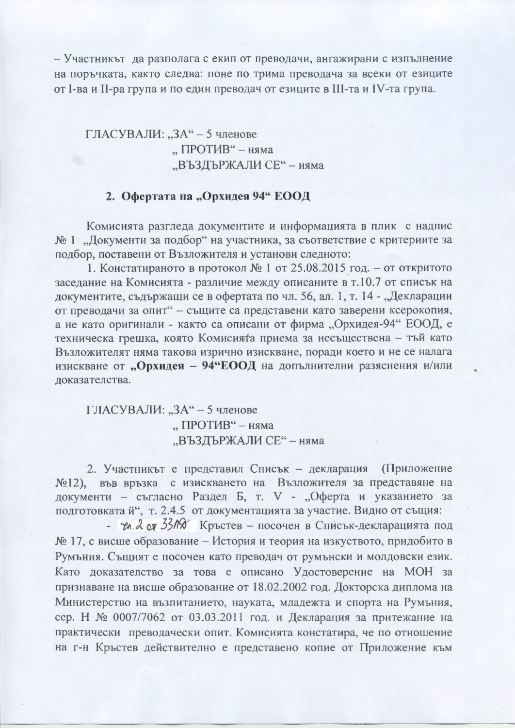- Участникът да разполага с екип от преводачи, ангажирани с изпълнение на поръчката, както следва: поне по трима преводача за всеки от езиците от I-ва и II-ра група и по един преводач от езиците в III-та и IV-та група.

## ГЛАСУВАЛИ: "ЗА" - 5 членове "ПРОТИВ" - няма "ВЪЗДЪРЖАЛИ СЕ" - няма

#### 2. Офертата на "Орхидея 94" ЕООД

Комисията разгледа документите и информацията в плик с надпис № 1 "Документи за подбор" на участника, за съответствие с критериите за подбор, поставени от Възложителя и установи следното:

1. Констатираното в протокол № 1 от 25.08.2015 год. - от откритото заседание на Комисията - различие между описаните в т.10.7 от списък на документите, съдържащи се в офертата по чл. 56, ал. 1, т. 14 - "Декларации от преводачи за опит" - същите са представени като заверени ксерокопия, а не като оригинали - както са описани от фирма "Орхидея-94" ЕООД, е техническа грешка, която Комисията приема за несъществена - тъй като Възложителят няма такова изрично изискване, поради което и не се налага изискване от "Орхидея - 94"ЕООД на допълнителни разяснения и/или доказателства.

ГЛАСУВАЛИ: "ЗА" - 5 членове "ПРОТИВ" - няма "ВЪЗДЪРЖАЛИ СЕ" - няма

2. Участникът е представил Списък - декларация (Приложение №12), във връзка с изискването на Възложителя за представяне на документи - съгласно Раздел Б, т. V - "Оферта и указанието за подготовката й", т. 2.4.5 от документацията за участие. Видно от същия:

- гл. 2 от 3310 Кръстев - посочен в Списък-декларацията под № 17, с висше образование - История и теория на изкуството, придобито в Румъния. Същият е посочен като преводач от румънски и молдовски език. Като доказателство за това е описано Удостоверение на МОН за признаване на висше образование от 18.02.2002 год. Докторска диплома на Министерство на възпитанието, науката, младежта и спорта на Румъния, сер. Н № 0007/7062 от 03.03.2011 год. и Декларация за притежание на практически преводачески опит. Комисията констатира, че по отношение на г-н Кръстев действително е представено копие от Приложение към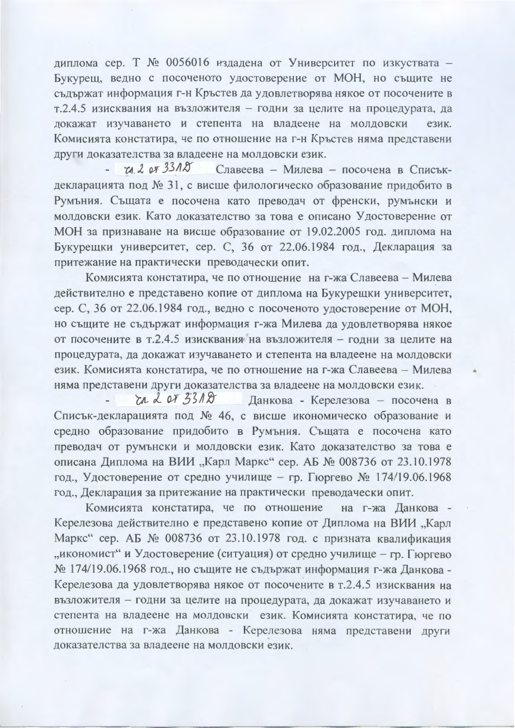диплома сер. Т № 0056016 издадена от Университет по изкуствата -Букурещ, ведно с посоченото удостоверение от МОН, но същите не съдържат информация г-н Кръстев да удовлетворява някое от посочените в т. 2.4.5 изисквания на възложителя - годни за целите на процедурата, да докажат изучаването и степента на владеене на молдовски език. Комисията констатира, че по отношение на г-н Кръстев няма представени други доказателства за владеене на молдовски език.

 $\alpha$  2 от 3318 Славеева – Милева – посочена в Списъкдекларацията под № 31, с висше филологическо образование придобито в Румъния. Същата е посочена като преводач от френски, румънски и молдовски език. Като доказателство за това е описано Удостоверение от МОН за признаване на висше образование от 19.02.2005 год. диплома на Букурещки университет, сер. С, 36 от 22.06.1984 год., Декларация за притежание на практически преводачески опит.

Комисията констатира, че по отношение на г-жа Славеева - Милева действително е представено копие от диплома на Букурещки университет, сер. С, 36 от 22.06.1984 год., ведно с посоченото удостоверение от МОН, но същите не съдържат информация г-жа Милева да удовлетворява някое от посочените в т.2.4.5 изисквания на възложителя - годни за целите на процедурата, да докажат изучаването и степента на владеене на молдовски език. Комисията констатира, че по отношение на г-жа Славеева - Милева няма представени други доказателства за владеене на молдовски език.

rn 2 et 3318 Данкова - Керелезова - посочена в Списък-декларацията под № 46, с висше икономическо образование и средно образование придобито в Румъния. Същата е посочена като преводач от румънски и молдовски език. Като доказателство за това е описана Диплома на ВИИ "Карл Маркс" сер. АБ № 008736 от 23.10.1978 год., Удостоверение от средно училище – гр. Гюргево № 174/19.06.1968 год., Декларация за притежание на практически преводачески опит.

Комисията констатира, че по отношение на г-жа Данкова -Керелезова действително е представено копие от Диплома на ВИИ "Карл Маркс" сер. АБ № 008736 от 23.10.1978 год. с призната квалификация "икономист" и Удостоверение (ситуация) от средно училище - гр. Гюргево № 174/19.06.1968 год., но същите не съдържат информация г-жа Данкова -Керелезова да удовлетворява някое от посочените в т.2.4.5 изисквания на възложителя - годни за целите на процедурата, да докажат изучаването и степента на владеене на молдовски език. Комисията констатира, че по отношение на г-жа Данкова - Керелезова няма представени други доказателства за владеене на молдовски език.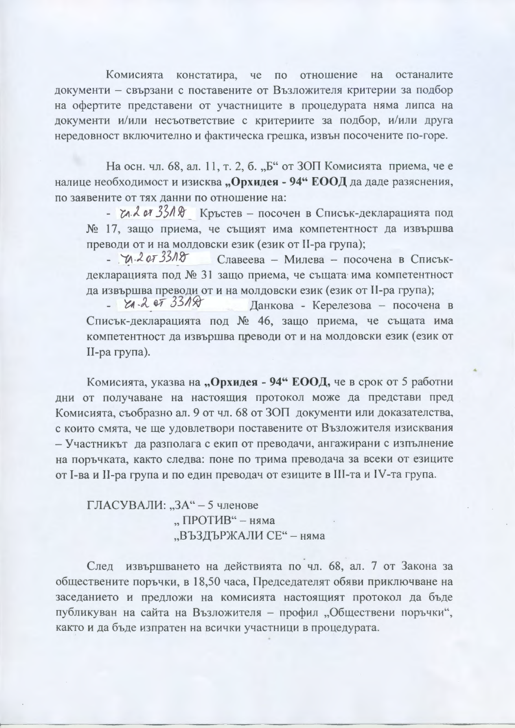Комисията констатира, че по отношение на останалите документи - свързани с поставените от Възложителя критерии за подбор на офертите представени от участниците в процедурата няма липса на документи и/или несъответствие с критериите за подбор, и/или друга нередовност включително и фактическа грешка, извън посочените по-горе.

На осн. чл. 68, ал. 11, т. 2, б. "Б" от ЗОП Комисията приема, че е налице необходимост и изисква "Орхидея - 94" ЕООД да даде разяснения, по заявените от тях данни по отношение на:

- гл. 2 от 331 & Кръстев - посочен в Списък-декларацията под № 17, защо приема, че същият има компетентност да извършва преводи от и на молдовски език (език от II-ра група);

 $-71.2073318$ Славеева - Милева - посочена в Списъкдекларацията под № 31 защо приема, че същата има компетентност да извършва преводи от и на молдовски език (език от II-ра група);

 $21.2$  or 3318 Данкова - Керелезова - посочена в  $\sim$ Списък-декларацията под № 46, защо приема, че същата има компетентност да извършва преводи от и на молдовски език (език от II-ра група).

Комисията, указва на "Орхидея - 94" ЕООД, че в срок от 5 работни дни от получаване на настоящия протокол може да представи пред Комисията, съобразно ал. 9 от чл. 68 от ЗОП документи или доказателства, с които смята, че ще удовлетвори поставените от Възложителя изисквания - Участникът да разполага с екип от преводачи, ангажирани с изпълнение на поръчката, както следва: поне по трима преводача за всеки от езиците от I-ва и II-ра група и по един преводач от езиците в III-та и IV-та група.

ГЛАСУВАЛИ: "ЗА" - 5 членове "ПРОТИВ" – няма "ВЪЗДЪРЖАЛИ СЕ" - няма

След извършването на действията по чл. 68, ал. 7 от Закона за обществените поръчки, в 18,50 часа, Председателят обяви приключване на заседанието и предложи на комисията настоящият протокол да бъде публикуван на сайта на Възложителя - профил "Обществени поръчки", както и да бъде изпратен на всички участници в процедурата.